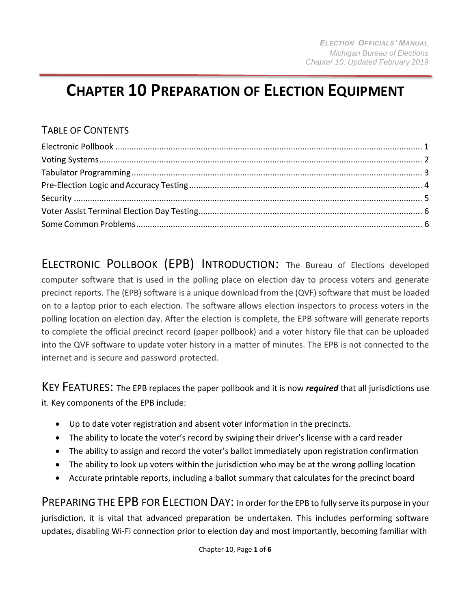# **CHAPTER 10 PREPARATION OF ELECTION EQUIPMENT**

#### TABLE OF CONTENTS

ELECTRONIC POLLBOOK (EPB) INTRODUCTION: The Bureau of Elections developed computer software that is used in the polling place on election day to process voters and generate precinct reports. The (EPB) software is a unique download from the (QVF) software that must be loaded on to a laptop prior to each election. The software allows election inspectors to process voters in the polling location on election day. After the election is complete, the EPB software will generate reports to complete the official precinct record (paper pollbook) and a voter history file that can be uploaded into the QVF software to update voter history in a matter of minutes. The EPB is not connected to the internet and is secure and password protected.

KEY FEATURES: The EPB replaces the paper pollbook and it is now *required* that all jurisdictions use it. Key components of the EPB include:

- Up to date voter registration and absent voter information in the precincts.
- The ability to locate the voter's record by swiping their driver's license with a card reader
- The ability to assign and record the voter's ballot immediately upon registration confirmation
- The ability to look up voters within the jurisdiction who may be at the wrong polling location
- Accurate printable reports, including a ballot summary that calculates for the precinct board

PREPARING THE EPB FOR ELECTION DAY: In order for the EPB to fully serve its purpose in your jurisdiction, it is vital that advanced preparation be undertaken. This includes performing software updates, disabling Wi-Fi connection prior to election day and most importantly, becoming familiar with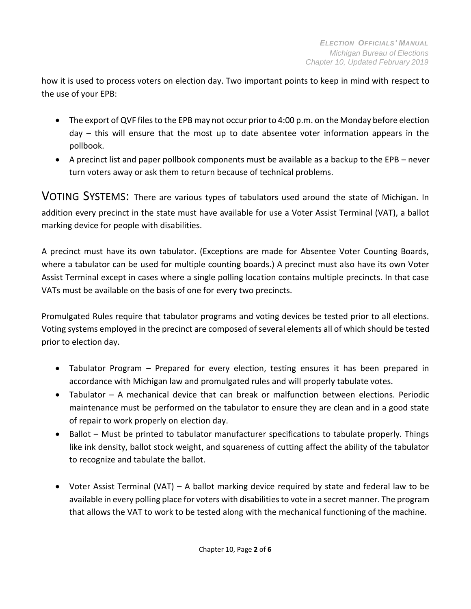how it is used to process voters on election day. Two important points to keep in mind with respect to the use of your EPB:

- The export of QVF files to the EPB may not occur prior to 4:00 p.m. on the Monday before election day – this will ensure that the most up to date absentee voter information appears in the pollbook.
- A precinct list and paper pollbook components must be available as a backup to the EPB never turn voters away or ask them to return because of technical problems.

VOTING SYSTEMS: There are various types of tabulators used around the state of Michigan. In addition every precinct in the state must have available for use a Voter Assist Terminal (VAT), a ballot marking device for people with disabilities.

A precinct must have its own tabulator. (Exceptions are made for Absentee Voter Counting Boards, where a tabulator can be used for multiple counting boards.) A precinct must also have its own Voter Assist Terminal except in cases where a single polling location contains multiple precincts. In that case VATs must be available on the basis of one for every two precincts.

Promulgated Rules require that tabulator programs and voting devices be tested prior to all elections. Voting systems employed in the precinct are composed of several elements all of which should be tested prior to election day.

- Tabulator Program Prepared for every election, testing ensures it has been prepared in accordance with Michigan law and promulgated rules and will properly tabulate votes.
- Tabulator A mechanical device that can break or malfunction between elections. Periodic maintenance must be performed on the tabulator to ensure they are clean and in a good state of repair to work properly on election day.
- Ballot Must be printed to tabulator manufacturer specifications to tabulate properly. Things like ink density, ballot stock weight, and squareness of cutting affect the ability of the tabulator to recognize and tabulate the ballot.
- Voter Assist Terminal (VAT) A ballot marking device required by state and federal law to be available in every polling place for voters with disabilities to vote in a secret manner. The program that allows the VAT to work to be tested along with the mechanical functioning of the machine.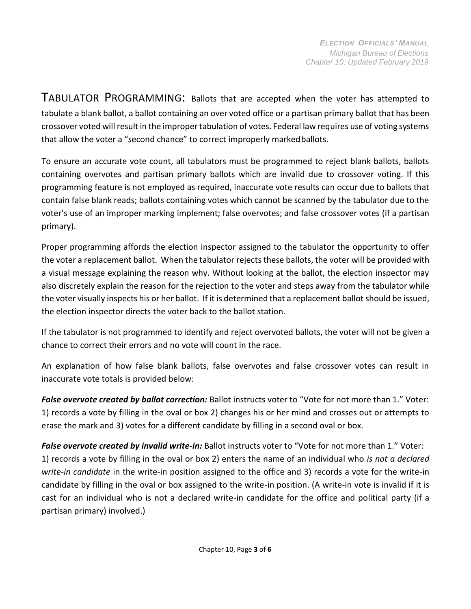TABULATOR PROGRAMMING: Ballots that are accepted when the voter has attempted to tabulate a blank ballot, a ballot containing an over voted office or a partisan primary ballot that has been crossover voted will result in the improper tabulation of votes. Federal law requires use of voting systems that allow the voter a "second chance" to correct improperly markedballots.

To ensure an accurate vote count, all tabulators must be programmed to reject blank ballots, ballots containing overvotes and partisan primary ballots which are invalid due to crossover voting. If this programming feature is not employed as required, inaccurate vote results can occur due to ballots that contain false blank reads; ballots containing votes which cannot be scanned by the tabulator due to the voter's use of an improper marking implement; false overvotes; and false crossover votes (if a partisan primary).

Proper programming affords the election inspector assigned to the tabulator the opportunity to offer the voter a replacement ballot. When the tabulator rejects these ballots, the voter will be provided with a visual message explaining the reason why. Without looking at the ballot, the election inspector may also discretely explain the reason for the rejection to the voter and steps away from the tabulator while the voter visually inspects his or her ballot. If it is determined that a replacement ballot should be issued, the election inspector directs the voter back to the ballot station.

If the tabulator is not programmed to identify and reject overvoted ballots, the voter will not be given a chance to correct their errors and no vote will count in the race.

An explanation of how false blank ballots, false overvotes and false crossover votes can result in inaccurate vote totals is provided below:

*False overvote created by ballot correction:* Ballot instructs voter to "Vote for not more than 1." Voter: 1) records a vote by filling in the oval or box 2) changes his or her mind and crosses out or attempts to erase the mark and 3) votes for a different candidate by filling in a second oval or box.

*False overvote created by invalid write-in:* Ballot instructs voter to "Vote for not more than 1." Voter: 1) records a vote by filling in the oval or box 2) enters the name of an individual who *is not a declared write-in candidate* in the write-in position assigned to the office and 3) records a vote for the write-in candidate by filling in the oval or box assigned to the write-in position. (A write-in vote is invalid if it is cast for an individual who is not a declared write-in candidate for the office and political party (if a partisan primary) involved.)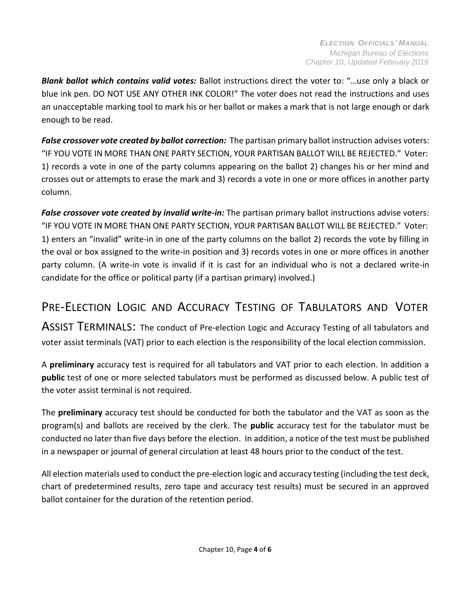*Blank ballot which contains valid votes:* Ballot instructions direct the voter to: "…use only a black or blue ink pen. DO NOT USE ANY OTHER INK COLOR!" The voter does not read the instructions and uses an unacceptable marking tool to mark his or her ballot or makes a mark that is not large enough or dark enough to be read.

*False crossover vote created by ballot correction:* The partisan primary ballot instruction advises voters: "IF YOU VOTE IN MORE THAN ONE PARTY SECTION, YOUR PARTISAN BALLOT WILL BE REJECTED." Voter: 1) records a vote in one of the party columns appearing on the ballot 2) changes his or her mind and crosses out or attempts to erase the mark and 3) records a vote in one or more offices in another party column.

*False crossover vote created by invalid write-in:* The partisan primary ballot instructions advise voters: "IF YOU VOTE IN MORE THAN ONE PARTY SECTION, YOUR PARTISAN BALLOT WILL BE REJECTED." Voter: 1) enters an "invalid" write-in in one of the party columns on the ballot 2) records the vote by filling in the oval or box assigned to the write-in position and 3) records votes in one or more offices in another party column. (A write-in vote is invalid if it is cast for an individual who is not a declared write-in candidate for the office or political party (if a partisan primary) involved.)

### PRE-ELECTION LOGIC AND ACCURACY TESTING OF TABULATORS AND VOTER

ASSIST TERMINALS: The conduct of Pre-election Logic and Accuracy Testing of all tabulators and voter assist terminals (VAT) prior to each election is the responsibility of the local election commission.

A **preliminary** accuracy test is required for all tabulators and VAT prior to each election. In addition a **public** test of one or more selected tabulators must be performed as discussed below. A public test of the voter assist terminal is not required.

The **preliminary** accuracy test should be conducted for both the tabulator and the VAT as soon as the program(s) and ballots are received by the clerk. The **public** accuracy test for the tabulator must be conducted no later than five days before the election. In addition, a notice of the test must be published in a newspaper or journal of general circulation at least 48 hours prior to the conduct of the test.

All election materials used to conduct the pre-election logic and accuracy testing (including the test deck, chart of predetermined results, zero tape and accuracy test results) must be secured in an approved ballot container for the duration of the retention period.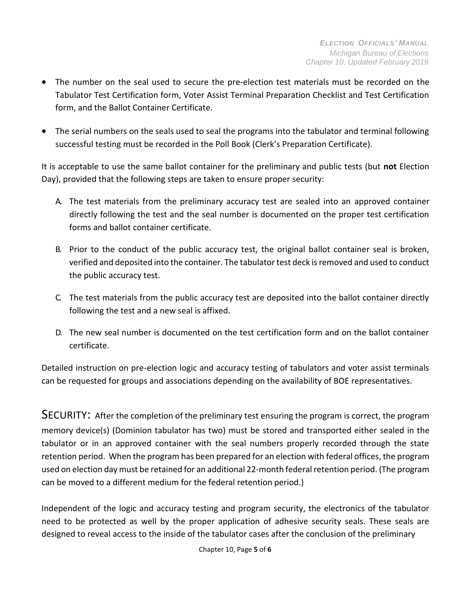- The number on the seal used to secure the pre-election test materials must be recorded on the Tabulator Test Certification form, Voter Assist Terminal Preparation Checklist and Test Certification form, and the Ballot Container Certificate.
- The serial numbers on the seals used to seal the programs into the tabulator and terminal following successful testing must be recorded in the Poll Book (Clerk's Preparation Certificate).

It is acceptable to use the same ballot container for the preliminary and public tests (but **not** Election Day), provided that the following steps are taken to ensure proper security:

- A. The test materials from the preliminary accuracy test are sealed into an approved container directly following the test and the seal number is documented on the proper test certification forms and ballot container certificate.
- B. Prior to the conduct of the public accuracy test, the original ballot container seal is broken, verified and deposited into the container. The tabulator test deck is removed and used to conduct the public accuracy test.
- C. The test materials from the public accuracy test are deposited into the ballot container directly following the test and a new seal is affixed.
- D. The new seal number is documented on the test certification form and on the ballot container certificate.

Detailed instruction on pre-election logic and accuracy testing of tabulators and voter assist terminals can be requested for groups and associations depending on the availability of BOE representatives.

SECURITY: After the completion of the preliminary test ensuring the program is correct, the program memory device(s) (Dominion tabulator has two) must be stored and transported either sealed in the tabulator or in an approved container with the seal numbers properly recorded through the state retention period. When the program has been prepared for an election with federal offices, the program used on election day must be retained for an additional 22-month federal retention period. (The program can be moved to a different medium for the federal retention period.)

Independent of the logic and accuracy testing and program security, the electronics of the tabulator need to be protected as well by the proper application of adhesive security seals. These seals are designed to reveal access to the inside of the tabulator cases after the conclusion of the preliminary